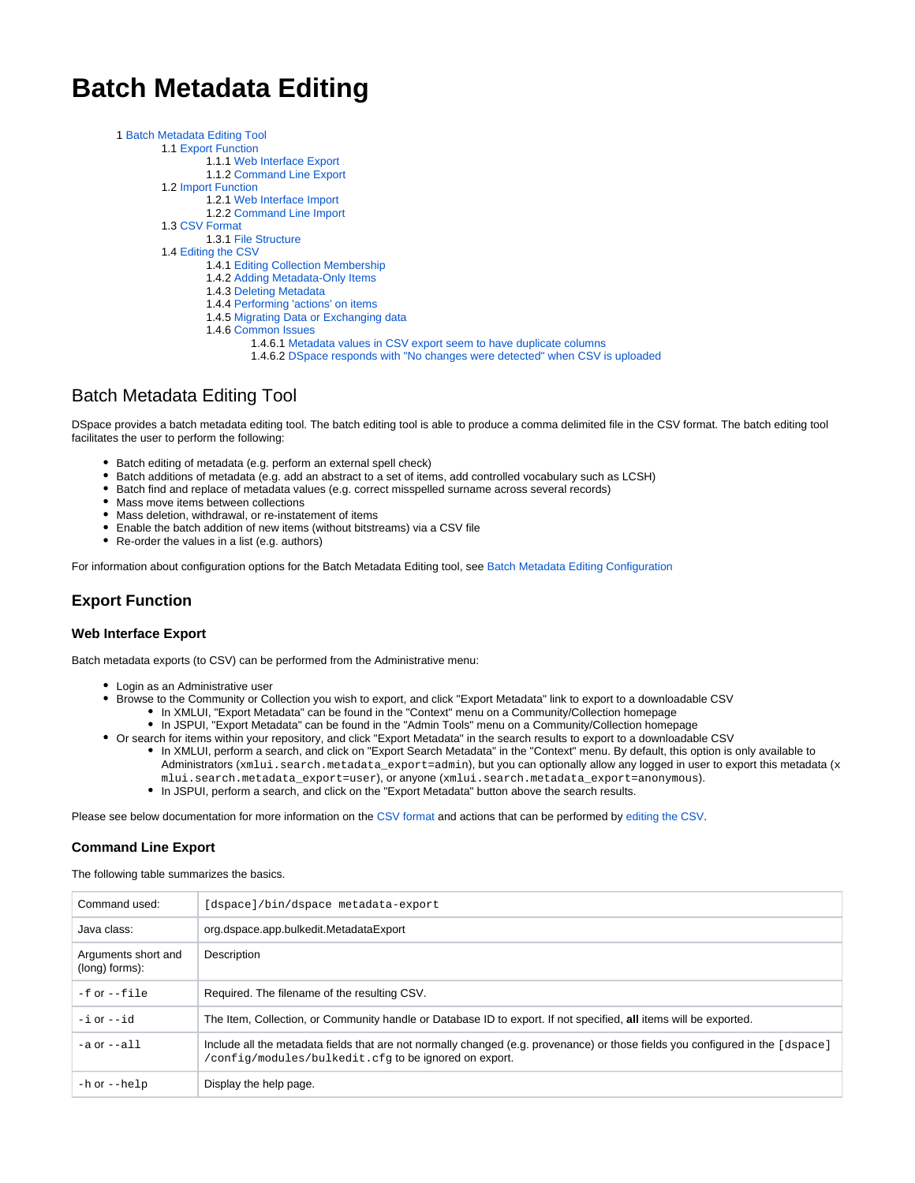# **Batch Metadata Editing**

| 1 Batch Metadata Editing Tool       |
|-------------------------------------|
| 1.1 Export Function                 |
| 1.1.1 Web Interface Export          |
| 1.1.2 Command Line Export           |
| 1.2 Import Function                 |
| 1.2.1 Web Interface Import          |
| 1.2.2 Command Line Import           |
| 1.3 CSV Format                      |
| 1.3.1 File Structure                |
| 1.4 Editing the CSV                 |
| 1.4.1 Editing Collection Membership |
|                                     |

- 1.4.2 [Adding Metadata-Only Items](#page-3-1)
- 1.4.3 [Deleting Metadata](#page-3-2)
- 1.4.4 [Performing 'actions' on items](#page-3-3)
- 1.4.5 [Migrating Data or Exchanging data](#page-4-0)
- 1.4.6 [Common Issues](#page-4-1)
	- 1.4.6.1 [Metadata values in CSV export seem to have duplicate columns](#page-4-2)
	- 1.4.6.2 [DSpace responds with "No changes were detected" when CSV is uploaded](#page-4-3)

# <span id="page-0-0"></span>Batch Metadata Editing Tool

DSpace provides a batch metadata editing tool. The batch editing tool is able to produce a comma delimited file in the CSV format. The batch editing tool facilitates the user to perform the following:

- Batch editing of metadata (e.g. perform an external spell check)
- Batch additions of metadata (e.g. add an abstract to a set of items, add controlled vocabulary such as LCSH)
- Batch find and replace of metadata values (e.g. correct misspelled surname across several records)
- Mass move items between collections
- Mass deletion, withdrawal, or re-instatement of items
- Enable the batch addition of new items (without bitstreams) via a CSV file
- Re-order the values in a list (e.g. authors)

For information about configuration options for the Batch Metadata Editing tool, see [Batch Metadata Editing Configuration](https://wiki.lyrasis.org/display/DSDOC6x/Batch+Metadata+Editing+Configuration)

# <span id="page-0-1"></span>**Export Function**

#### <span id="page-0-2"></span>**Web Interface Export**

Batch metadata exports (to CSV) can be performed from the Administrative menu:

- Login as an Administrative user
- Browse to the Community or Collection you wish to export, and click "Export Metadata" link to export to a downloadable CSV
	- In XMLUI, "Export Metadata" can be found in the "Context" menu on a Community/Collection homepage
	- In JSPUI, "Export Metadata" can be found in the "Admin Tools" menu on a Community/Collection homepage
- Or search for items within your repository, and click "Export Metadata" in the search results to export to a downloadable CSV
	- In XMLUI, perform a search, and click on "Export Search Metadata" in the "Context" menu. By default, this option is only available to Administrators (xmlui.search.metadata\_export=admin), but you can optionally allow any logged in user to export this metadata (x mlui.search.metadata\_export=user), or anyone (xmlui.search.metadata\_export=anonymous).
	- In JSPUI, perform a search, and click on the "Export Metadata" button above the search results.

Please see below documentation for more information on the [CSV format](#page-2-0) and actions that can be performed by [editing the CSV](#page-2-2).

#### <span id="page-0-3"></span>**Command Line Export**

The following table summarizes the basics.

| Command used:                         | [dspace]/bin/dspace metadata-export                                                                                                                                                     |  |
|---------------------------------------|-----------------------------------------------------------------------------------------------------------------------------------------------------------------------------------------|--|
| Java class:                           | org.dspace.app.bulkedit.MetadataExport                                                                                                                                                  |  |
| Arguments short and<br>(long) forms): | Description                                                                                                                                                                             |  |
| $-f$ or $--file$                      | Required. The filename of the resulting CSV.                                                                                                                                            |  |
| $-i$ or $-i$ d                        | The Item, Collection, or Community handle or Database ID to export. If not specified, all items will be exported.                                                                       |  |
| $-a$ or $-a11$                        | Include all the metadata fields that are not normally changed (e.g. provenance) or those fields you configured in the [dspace]<br>/config/modules/bulkedit.cfg to be ignored on export. |  |
| $-h$ or $-help$                       | Display the help page.                                                                                                                                                                  |  |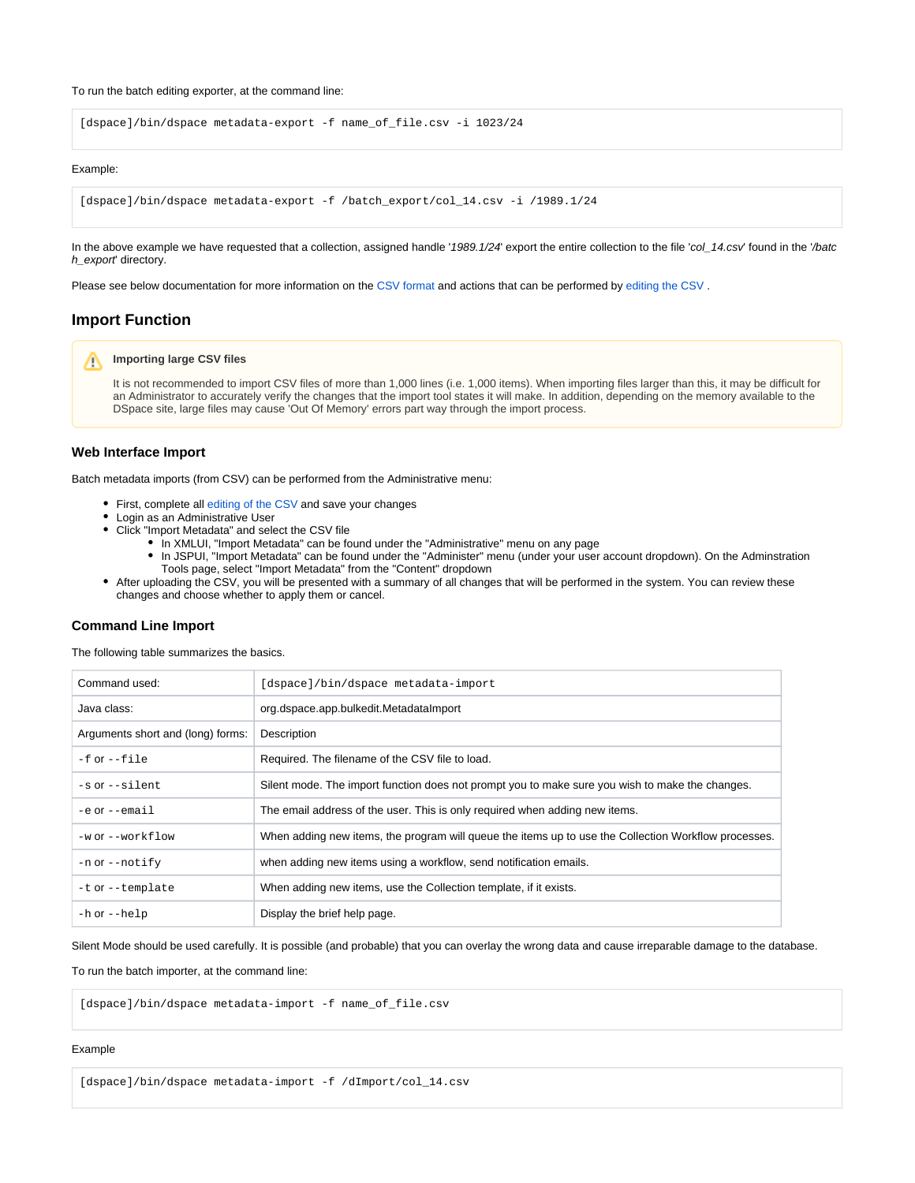To run the batch editing exporter, at the command line:

[dspace]/bin/dspace metadata-export -f name\_of\_file.csv -i 1023/24

#### Example:

```
[dspace]/bin/dspace metadata-export -f /batch_export/col_14.csv -i /1989.1/24
```
In the above example we have requested that a collection, assigned handle '1989.1/24' export the entire collection to the file 'col\_14.csv' found in the '/batc h\_export' directory.

Please see below documentation for more information on the [CSV format](#page-2-0) and actions that can be performed by [editing the CSV](#page-2-2).

# <span id="page-1-0"></span>**Import Function**

#### **Importing large CSV files** Λ

It is not recommended to import CSV files of more than 1,000 lines (i.e. 1,000 items). When importing files larger than this, it may be difficult for an Administrator to accurately verify the changes that the import tool states it will make. In addition, depending on the memory available to the DSpace site, large files may cause 'Out Of Memory' errors part way through the import process.

## <span id="page-1-1"></span>**Web Interface Import**

Batch metadata imports (from CSV) can be performed from the Administrative menu:

- First, complete all [editing of the CSV](#page-2-2) and save your changes
- Login as an Administrative User
- Click "Import Metadata" and select the CSV file
	- In XMLUI, "Import Metadata" can be found under the "Administrative" menu on any page
	- In JSPUI, "Import Metadata" can be found under the "Administer" menu (under your user account dropdown). On the Adminstration Tools page, select "Import Metadata" from the "Content" dropdown
- After uploading the CSV, you will be presented with a summary of all changes that will be performed in the system. You can review these changes and choose whether to apply them or cancel.

#### <span id="page-1-2"></span>**Command Line Import**

The following table summarizes the basics.

| Command used:                     | [dspace]/bin/dspace metadata-import                                                                  |
|-----------------------------------|------------------------------------------------------------------------------------------------------|
| Java class:                       | org.dspace.app.bulkedit.MetadataImport                                                               |
| Arguments short and (long) forms: | Description                                                                                          |
| $-f$ or $-file$                   | Required. The filename of the CSV file to load.                                                      |
| $-s$ or $-silent$                 | Silent mode. The import function does not prompt you to make sure you wish to make the changes.      |
| $-e$ or $ -e$ mail                | The email address of the user. This is only required when adding new items.                          |
| -w or --workflow                  | When adding new items, the program will queue the items up to use the Collection Workflow processes. |
| $-$ n O $r$ $-$ notify            | when adding new items using a workflow, send notification emails.                                    |
| $-t$ or $-t$ emplate              | When adding new items, use the Collection template, if it exists.                                    |
| $-h$ or $-help$                   | Display the brief help page.                                                                         |

Silent Mode should be used carefully. It is possible (and probable) that you can overlay the wrong data and cause irreparable damage to the database.

To run the batch importer, at the command line:

[dspace]/bin/dspace metadata-import -f name\_of\_file.csv

#### Example

[dspace]/bin/dspace metadata-import -f /dImport/col\_14.csv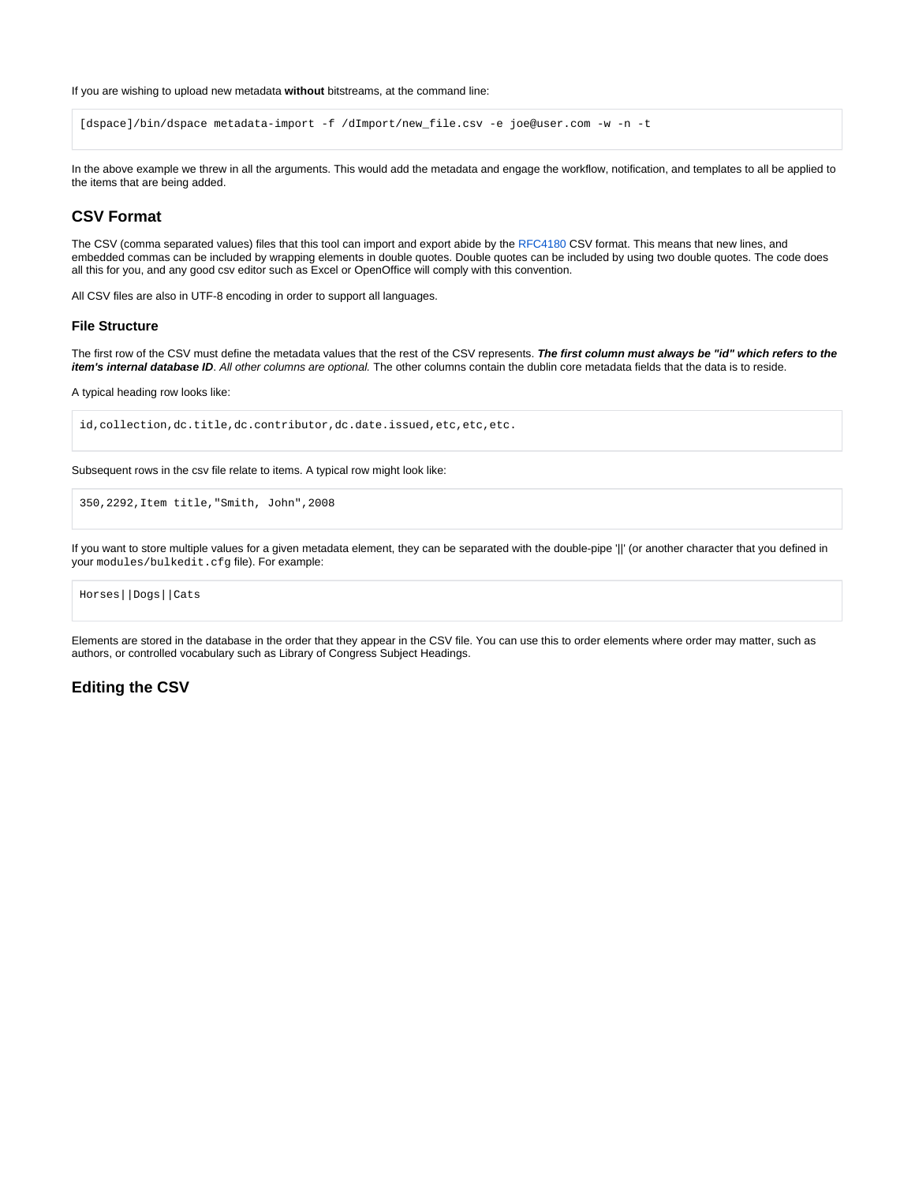If you are wishing to upload new metadata **without** bitstreams, at the command line:

```
[dspace]/bin/dspace metadata-import -f /dImport/new_file.csv -e joe@user.com -w -n -t
```
In the above example we threw in all the arguments. This would add the metadata and engage the workflow, notification, and templates to all be applied to the items that are being added.

# <span id="page-2-0"></span>**CSV Format**

The CSV (comma separated values) files that this tool can import and export abide by the [RFC4180](http://www.ietf.org/rfc/rfc4180.txt) CSV format. This means that new lines, and embedded commas can be included by wrapping elements in double quotes. Double quotes can be included by using two double quotes. The code does all this for you, and any good csv editor such as Excel or OpenOffice will comply with this convention.

All CSV files are also in UTF-8 encoding in order to support all languages.

#### <span id="page-2-1"></span>**File Structure**

The first row of the CSV must define the metadata values that the rest of the CSV represents. **The first column must always be "id" which refers to the item's internal database ID**. All other columns are optional. The other columns contain the dublin core metadata fields that the data is to reside.

A typical heading row looks like:

id,collection,dc.title,dc.contributor,dc.date.issued,etc,etc,etc.

Subsequent rows in the csv file relate to items. A typical row might look like:

```
350,2292,Item title,"Smith, John",2008
```
If you want to store multiple values for a given metadata element, they can be separated with the double-pipe '||' (or another character that you defined in your modules/bulkedit.cfg file). For example:

```
Horses||Dogs||Cats
```
Elements are stored in the database in the order that they appear in the CSV file. You can use this to order elements where order may matter, such as authors, or controlled vocabulary such as Library of Congress Subject Headings.

# <span id="page-2-2"></span>**Editing the CSV**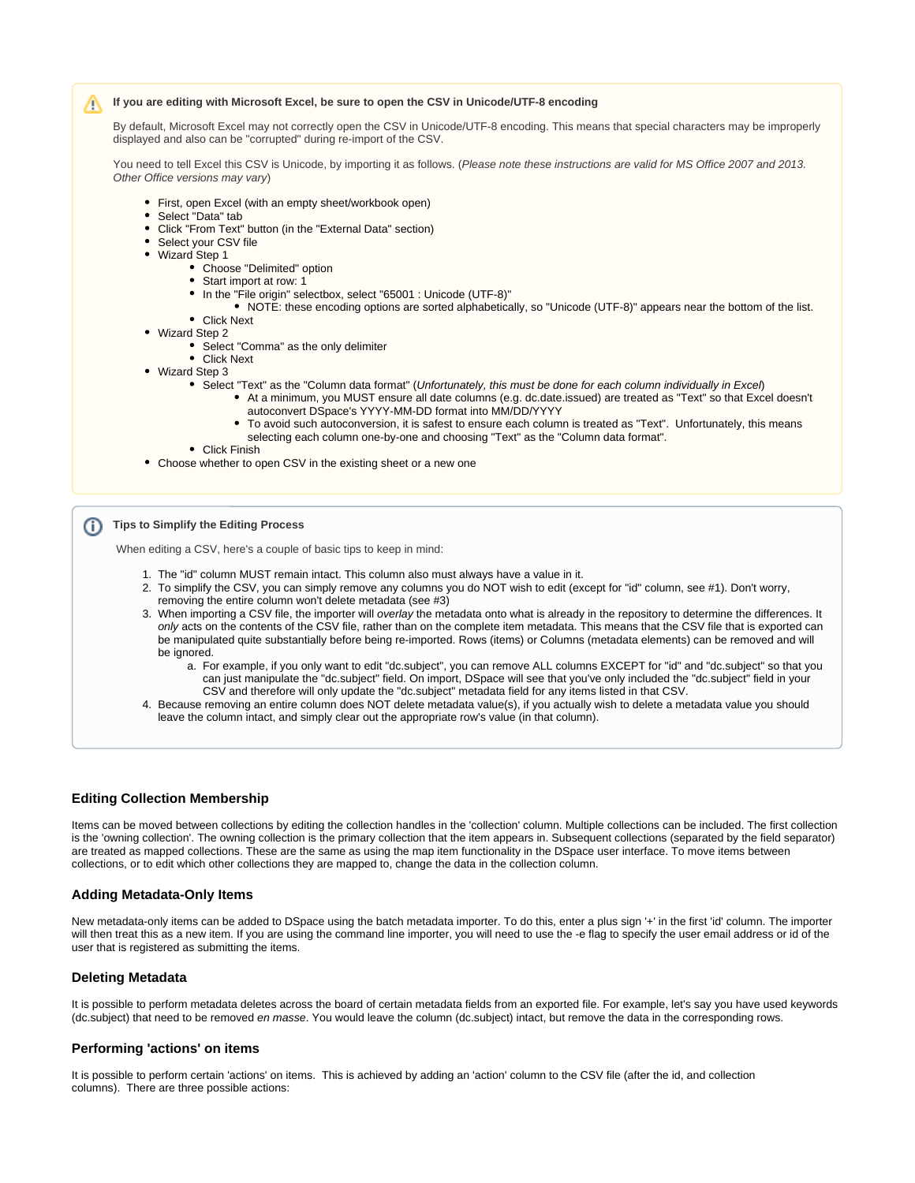#### Λ **If you are editing with Microsoft Excel, be sure to open the CSV in Unicode/UTF-8 encoding**

By default, Microsoft Excel may not correctly open the CSV in Unicode/UTF-8 encoding. This means that special characters may be improperly displayed and also can be "corrupted" during re-import of the CSV.

You need to tell Excel this CSV is Unicode, by importing it as follows. (Please note these instructions are valid for MS Office 2007 and 2013. Other Office versions may vary)

- First, open Excel (with an empty sheet/workbook open)
- Select "Data" tab
- $\bullet$ Click "From Text" button (in the "External Data" section)
- Select your CSV file
- Wizard Step 1
	- Choose "Delimited" option
	- Start import at row: 1
	- In the "File origin" selectbox, select "65001 : Unicode (UTF-8)"
	- NOTE: these encoding options are sorted alphabetically, so "Unicode (UTF-8)" appears near the bottom of the list. Click Next
- Wizard Step 2
	- Select "Comma" as the only delimiter
	- Click Next
- Wizard Step 3
	- Select "Text" as the "Column data format" (Unfortunately, this must be done for each column individually in Excel)
		- At a minimum, you MUST ensure all date columns (e.g. dc.date.issued) are treated as "Text" so that Excel doesn't autoconvert DSpace's YYYY-MM-DD format into MM/DD/YYYY
		- To avoid such autoconversion, it is safest to ensure each column is treated as "Text". Unfortunately, this means selecting each column one-by-one and choosing "Text" as the "Column data format".
	- Click Finish
- Choose whether to open CSV in the existing sheet or a new one

## **Tips to Simplify the Editing Process**

When editing a CSV, here's a couple of basic tips to keep in mind:

- 1. The "id" column MUST remain intact. This column also must always have a value in it.
- 2. To simplify the CSV, you can simply remove any columns you do NOT wish to edit (except for "id" column, see #1). Don't worry, removing the entire column won't delete metadata (see #3)
- 3. When importing a CSV file, the importer will overlay the metadata onto what is already in the repository to determine the differences. It only acts on the contents of the CSV file, rather than on the complete item metadata. This means that the CSV file that is exported can be manipulated quite substantially before being re-imported. Rows (items) or Columns (metadata elements) can be removed and will be ignored.
	- a. For example, if you only want to edit "dc.subject", you can remove ALL columns EXCEPT for "id" and "dc.subject" so that you can just manipulate the "dc.subject" field. On import, DSpace will see that you've only included the "dc.subject" field in your CSV and therefore will only update the "dc.subject" metadata field for any items listed in that CSV.
- 4. Because removing an entire column does NOT delete metadata value(s), if you actually wish to delete a metadata value you should leave the column intact, and simply clear out the appropriate row's value (in that column).

#### <span id="page-3-0"></span>**Editing Collection Membership**

Items can be moved between collections by editing the collection handles in the 'collection' column. Multiple collections can be included. The first collection is the 'owning collection'. The owning collection is the primary collection that the item appears in. Subsequent collections (separated by the field separator) are treated as mapped collections. These are the same as using the map item functionality in the DSpace user interface. To move items between collections, or to edit which other collections they are mapped to, change the data in the collection column.

#### <span id="page-3-1"></span>**Adding Metadata-Only Items**

New metadata-only items can be added to DSpace using the batch metadata importer. To do this, enter a plus sign '+' in the first 'id' column. The importer will then treat this as a new item. If you are using the command line importer, you will need to use the -e flag to specify the user email address or id of the user that is registered as submitting the items.

#### <span id="page-3-2"></span>**Deleting Metadata**

It is possible to perform metadata deletes across the board of certain metadata fields from an exported file. For example, let's say you have used keywords (dc.subject) that need to be removed en masse. You would leave the column (dc.subject) intact, but remove the data in the corresponding rows.

#### <span id="page-3-3"></span>**Performing 'actions' on items**

It is possible to perform certain 'actions' on items. This is achieved by adding an 'action' column to the CSV file (after the id, and collection columns). There are three possible actions: